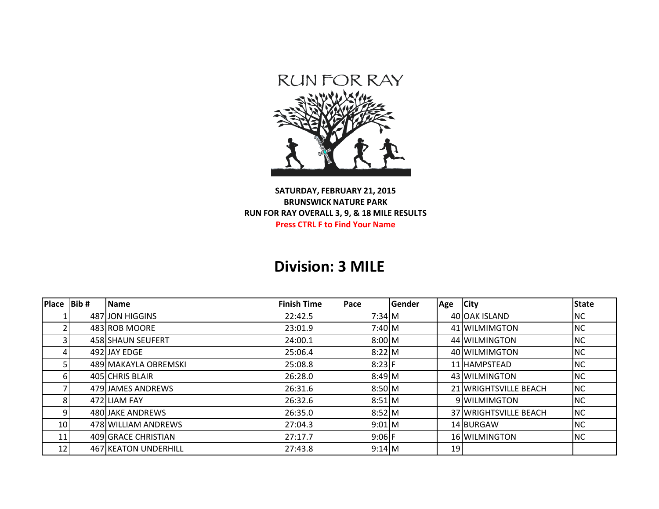

## **SATURDAY, FEBRUARY 21, 2015 BRUNSWICK NATURE PARK RUN FOR RAY OVERALL 3, 9, & 18 MILE RESULTS Press CTRL F to Find Your Name**

## **Division: 3 MILE**

| <b>Place</b> | Bib# | Name                 | <b>Finish Time</b> | <b>Pace</b> | Gender | Age | <b>City</b>           | State     |
|--------------|------|----------------------|--------------------|-------------|--------|-----|-----------------------|-----------|
|              |      | 487 JON HIGGINS      | 22:42.5            | $7:34$ M    |        |     | 40 OAK ISLAND         | <b>NC</b> |
|              |      | 483 ROB MOORE        | 23:01.9            | $7:40$ M    |        |     | 41 WILMIMGTON         | <b>NC</b> |
|              |      | 458 SHAUN SEUFERT    | 24:00.1            | $8:00\,M$   |        |     | 44 WILMINGTON         | <b>NC</b> |
|              |      | 492 JAY EDGE         | 25:06.4            | $8:22$ M    |        |     | 40 WILMIMGTON         | <b>NC</b> |
|              |      | 489 MAKAYLA OBREMSKI | 25:08.8            | $8:23$ F    |        |     | 11 HAMPSTEAD          | <b>NC</b> |
|              |      | 405 CHRIS BLAIR      | 26:28.0            | $8:49$ M    |        |     | 43 WILMINGTON         | <b>NC</b> |
|              |      | 479 JAMES ANDREWS    | 26:31.6            | $8:50$ M    |        |     | 21 WRIGHTSVILLE BEACH | <b>NC</b> |
|              |      | 472 LIAM FAY         | 26:32.6            | $8:51$ M    |        |     | 9 WILMIMGTON          | <b>NC</b> |
|              |      | 480 JAKE ANDREWS     | 26:35.0            | $8:52$ M    |        |     | 37 WRIGHTSVILLE BEACH | <b>NC</b> |
| 10           |      | 478 WILLIAM ANDREWS  | 27:04.3            | $9:01$ M    |        |     | 14 BURGAW             | <b>NC</b> |
| 11           |      | 409 GRACE CHRISTIAN  | 27:17.7            | $9:06$ F    |        |     | 16 WILMINGTON         | <b>NC</b> |
| 12           |      | 467 KEATON UNDERHILL | 27:43.8            | $9:14$ M    |        | 19  |                       |           |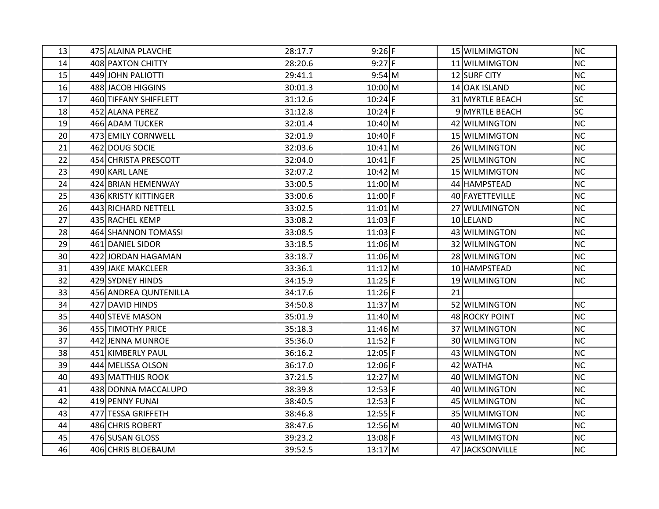| 13 | 475 ALAINA PLAVCHE    | 28:17.7 | $9:26$ F     |    | 15 WILMIMGTON         | <b>NC</b> |
|----|-----------------------|---------|--------------|----|-----------------------|-----------|
| 14 | 408 PAXTON CHITTY     | 28:20.6 | $9:27$ F     |    | 11 WILMIMGTON         | <b>NC</b> |
| 15 | 449 JOHN PALIOTTI     | 29:41.1 | $9:54$ M     |    | 12 SURF CITY          | <b>NC</b> |
| 16 | 488 JACOB HIGGINS     | 30:01.3 | $10:00 \, M$ |    | 14 OAK ISLAND         | <b>NC</b> |
| 17 | 460 TIFFANY SHIFFLETT | 31:12.6 | $10:24$ F    |    | 31 MYRTLE BEACH       | <b>SC</b> |
| 18 | 452 ALANA PEREZ       | 31:12.8 | $10:24$ F    |    | 9 MYRTLE BEACH        | <b>SC</b> |
| 19 | 466 ADAM TUCKER       | 32:01.4 | $10:40$ M    |    | 42 WILMINGTON         | <b>NC</b> |
| 20 | 473 EMILY CORNWELL    | 32:01.9 | $10:40$ F    |    | 15 WILMIMGTON         | <b>NC</b> |
| 21 | 462 DOUG SOCIE        | 32:03.6 | $10:41$ M    |    | 26 WILMINGTON         | <b>NC</b> |
| 22 | 454 CHRISTA PRESCOTT  | 32:04.0 | $10:41$ F    |    | 25 WILMINGTON         | <b>NC</b> |
| 23 | 490 KARL LANE         | 32:07.2 | $10:42$ M    |    | 15 WILMIMGTON         | <b>NC</b> |
| 24 | 424 BRIAN HEMENWAY    | 33:00.5 | $11:00$ M    |    | 44 HAMPSTEAD          | <b>NC</b> |
| 25 | 436 KRISTY KITTINGER  | 33:00.6 | $11:00$ F    |    | 40 FAYETTEVILLE       | <b>NC</b> |
| 26 | 443 RICHARD NETTELL   | 33:02.5 | $11:01$ M    |    | 27 WULMINGTON         | <b>NC</b> |
| 27 | 435 RACHEL KEMP       | 33:08.2 | $11:03$ F    |    | 10 LELAND             | <b>NC</b> |
| 28 | 464 SHANNON TOMASSI   | 33:08.5 | $11:03$ F    |    | 43 WILMINGTON         | <b>NC</b> |
| 29 | 461 DANIEL SIDOR      | 33:18.5 | $11:06$ M    |    | 32 WILMINGTON         | <b>NC</b> |
| 30 | 422 JORDAN HAGAMAN    | 33:18.7 | $11:06$ M    |    | 28 WILMINGTON         | <b>NC</b> |
| 31 | 439 JAKE MAKCLEER     | 33:36.1 | $11:12$ M    |    | 10 HAMPSTEAD          | <b>NC</b> |
| 32 | 429 SYDNEY HINDS      | 34:15.9 | $11:25$ F    |    | 19 WILMINGTON         | <b>NC</b> |
| 33 | 456 ANDREA QUNTENILLA | 34:17.6 | $11:26$ F    | 21 |                       |           |
| 34 | 427 DAVID HINDS       | 34:50.8 | $11:37$ M    |    | 52 WILMINGTON         | <b>NC</b> |
| 35 | 440 STEVE MASON       | 35:01.9 | $11:40$ M    |    | <b>48 ROCKY POINT</b> | <b>NC</b> |
| 36 | 455 TIMOTHY PRICE     | 35:18.3 | 11:46 M      |    | 37 WILMINGTON         | <b>NC</b> |
| 37 | 442 JENNA MUNROE      | 35:36.0 | $11:52$ F    |    | 30 WILMINGTON         | <b>NC</b> |
| 38 | 451 KIMBERLY PAUL     | 36:16.2 | $12:05$ F    |    | 43 WILMINGTON         | <b>NC</b> |
| 39 | 444 MELISSA OLSON     | 36:17.0 | $12:06$ F    |    | 42 WATHA              | <b>NC</b> |
| 40 | 493 MATTHIJS ROOK     | 37:21.5 | $12:27$ M    |    | 40 WILMIMGTON         | <b>NC</b> |
| 41 | 438 DONNA MACCALUPO   | 38:39.8 | $12:53$ F    |    | 40 WILMINGTON         | <b>NC</b> |
| 42 | 419 PENNY FUNAI       | 38:40.5 | $12:53$ F    |    | 45 WILMINGTON         | <b>NC</b> |
| 43 | 477 TESSA GRIFFETH    | 38:46.8 | $12:55$ F    |    | 35 WILMIMGTON         | <b>NC</b> |
| 44 | 486 CHRIS ROBERT      | 38:47.6 | $12:56$ M    |    | 40 WILMIMGTON         | <b>NC</b> |
| 45 | 476 SUSAN GLOSS       | 39:23.2 | $13:08$ F    |    | 43 WILMIMGTON         | <b>NC</b> |
| 46 | 406 CHRIS BLOEBAUM    | 39:52.5 | $13:17$ M    |    | 47 JACKSONVILLE       | <b>NC</b> |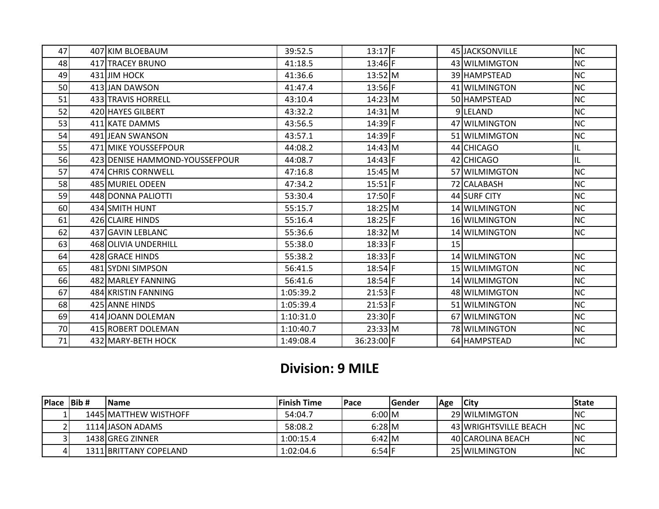| 47 | 407 KIM BLOEBAUM               | 39:52.5   | $13:17$ F  |                 | 45 JACKSONVILLE | <b>NC</b> |
|----|--------------------------------|-----------|------------|-----------------|-----------------|-----------|
| 48 | 417 TRACEY BRUNO               | 41:18.5   | 13:46 F    |                 | 43 WILMIMGTON   | <b>NC</b> |
| 49 | 431 JIM HOCK                   | 41:36.6   | 13:52 M    |                 | 39 HAMPSTEAD    | <b>NC</b> |
| 50 | 413 JAN DAWSON                 | 41:47.4   | $13:56$ F  |                 | 41 WILMINGTON   | <b>NC</b> |
| 51 | 433 TRAVIS HORRELL             | 43:10.4   | $14:23$ M  |                 | 50 HAMPSTEAD    | <b>NC</b> |
| 52 | 420 HAYES GILBERT              | 43:32.2   | $14:31$ M  |                 | 9LELAND         | <b>NC</b> |
| 53 | 411 KATE DAMMS                 | 43:56.5   | 14:39 F    |                 | 47 WILMINGTON   | <b>NC</b> |
| 54 | 491 JEAN SWANSON               | 43:57.1   | 14:39 F    |                 | 51 WILMIMGTON   | <b>NC</b> |
| 55 | 471 MIKE YOUSSEFPOUR           | 44:08.2   | $14:43$ M  |                 | 44 CHICAGO      | IL        |
| 56 | 423 DENISE HAMMOND-YOUSSEFPOUR | 44:08.7   | 14:43 F    |                 | 42 CHICAGO      | IL        |
| 57 | 474 CHRIS CORNWELL             | 47:16.8   | $15:45$ M  |                 | 57 WILMIMGTON   | <b>NC</b> |
| 58 | 485 MURIEL ODEEN               | 47:34.2   | $15:51$ F  |                 | 72 CALABASH     | <b>NC</b> |
| 59 | 448 DONNA PALIOTTI             | 53:30.4   | 17:50 F    |                 | 44 SURF CITY    | <b>NC</b> |
| 60 | 434 SMITH HUNT                 | 55:15.7   | $18:25$ M  |                 | 14 WILMINGTON   | <b>NC</b> |
| 61 | 426 CLAIRE HINDS               | 55:16.4   | $18:25$ F  |                 | 16 WILMINGTON   | <b>NC</b> |
| 62 | 437 GAVIN LEBLANC              | 55:36.6   | $18:32$ M  |                 | 14 WILMINGTON   | <b>NC</b> |
| 63 | 468 OLIVIA UNDERHILL           | 55:38.0   | $18:33$ F  | 15 <sub>l</sub> |                 |           |
| 64 | 428 GRACE HINDS                | 55:38.2   | $18:33$ F  |                 | 14 WILMINGTON   | <b>NC</b> |
| 65 | 481 SYDNI SIMPSON              | 56:41.5   | $18:54$ F  |                 | 15 WILMIMGTON   | <b>NC</b> |
| 66 | 482 MARLEY FANNING             | 56:41.6   | $18:54$ F  |                 | 14 WILMIMGTON   | <b>NC</b> |
| 67 | 484 KRISTIN FANNING            | 1:05:39.2 | $21:53$ F  |                 | 48 WILMIMGTON   | <b>NC</b> |
| 68 | 425 ANNE HINDS                 | 1:05:39.4 | $21:53$ F  |                 | 51 WILMINGTON   | <b>NC</b> |
| 69 | 414 JOANN DOLEMAN              | 1:10:31.0 | 23:30 F    |                 | 67 WILMINGTON   | <b>NC</b> |
| 70 | 415 ROBERT DOLEMAN             | 1:10:40.7 | 23:33 M    |                 | 78 WILMINGTON   | <b>NC</b> |
| 71 | 432 MARY-BETH HOCK             | 1:49:08.4 | 36:23:00 F |                 | 64 HAMPSTEAD    | <b>NC</b> |

## **Division: 9 MILE**

| $Place$ Bib # | <b>IName</b>           | lFinish Time | <b>IPace</b> | lGender | Age | City                  | <b>IState</b> |
|---------------|------------------------|--------------|--------------|---------|-----|-----------------------|---------------|
|               | 1445 MATTHEW WISTHOFF  | 54:04.7      | 6:00 M       |         |     | 29 WILMIMGTON         | <b>INC</b>    |
|               | 1114UASON ADAMS        | 58:08.2      | $6:28$ M     |         |     | 43 WRIGHTSVILLE BEACH | <b>INC</b>    |
|               | 1438 GREG ZINNER       | 1:00:15.4    | $6:42$ M     |         |     | 40 CAROLINA BEACH     | <b>INC</b>    |
|               | 1311 BRITTANY COPELAND | 1:02:04.6    | 6:54         |         |     | 25 WILMINGTON         | <b>INC</b>    |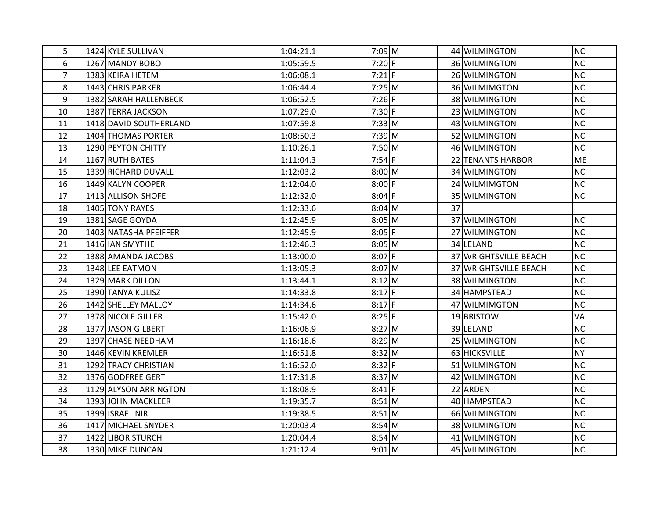| 5              | 1424 KYLE SULLIVAN     | 1:04:21.1 | 7:09 M   |    | 44 WILMINGTON         | <b>NC</b> |
|----------------|------------------------|-----------|----------|----|-----------------------|-----------|
| 6              | 1267 MANDY BOBO        | 1:05:59.5 | $7:20$ F |    | 36 WILMINGTON         | <b>NC</b> |
| $\overline{7}$ | 1383 KEIRA HETEM       | 1:06:08.1 | $7:21$ F |    | 26 WILMINGTON         | <b>NC</b> |
| 8              | 1443 CHRIS PARKER      | 1:06:44.4 | $7:25$ M |    | 36 WILMIMGTON         | <b>NC</b> |
| 9              | 1382 SARAH HALLENBECK  | 1:06:52.5 | $7:26$ F |    | 38 WILMINGTON         | <b>NC</b> |
| 10             | 1387 TERRA JACKSON     | 1:07:29.0 | $7:30$ F |    | 23 WILMINGTON         | <b>NC</b> |
| 11             | 1418 DAVID SOUTHERLAND | 1:07:59.8 | $7:33$ M |    | 43 WILMINGTON         | <b>NC</b> |
| 12             | 1404 THOMAS PORTER     | 1:08:50.3 | $7:39$ M |    | 52 WILMINGTON         | <b>NC</b> |
| 13             | 1290 PEYTON CHITTY     | 1:10:26.1 | 7:50 M   |    | 46 WILMINGTON         | <b>NC</b> |
| 14             | 1167 RUTH BATES        | 1:11:04.3 | $7:54$ F |    | 22 TENANTS HARBOR     | <b>ME</b> |
| 15             | 1339 RICHARD DUVALL    | 1:12:03.2 | 8:00 M   |    | 34 WILMINGTON         | <b>NC</b> |
| 16             | 1449 KALYN COOPER      | 1:12:04.0 | $8:00$ F |    | 24 WILMIMGTON         | <b>NC</b> |
| 17             | 1413 ALLISON SHOFE     | 1:12:32.0 | $8:04$ F |    | 35 WILMINGTON         | <b>NC</b> |
| 18             | 1405 TONY RAYES        | 1:12:33.6 | $8:04$ M | 37 |                       |           |
| 19             | 1381 SAGE GOYDA        | 1:12:45.9 | $8:05$ M |    | 37 WILMINGTON         | <b>NC</b> |
| 20             | 1403 NATASHA PFEIFFER  | 1:12:45.9 | $8:05$ F |    | 27 WILMINGTON         | <b>NC</b> |
| 21             | 1416 IAN SMYTHE        | 1:12:46.3 | 8:05 M   |    | 34 LELAND             | <b>NC</b> |
| 22             | 1388 AMANDA JACOBS     | 1:13:00.0 | $8:07$ F |    | 37 WRIGHTSVILLE BEACH | <b>NC</b> |
| 23             | 1348 LEE EATMON        | 1:13:05.3 | $8:07$ M |    | 37 WRIGHTSVILLE BEACH | <b>NC</b> |
| 24             | 1329 MARK DILLON       | 1:13:44.1 | $8:12$ M |    | 38 WILMINGTON         | <b>NC</b> |
| 25             | 1390 TANYA KULISZ      | 1:14:33.8 | $8:17$ F |    | 34 HAMPSTEAD          | <b>NC</b> |
| 26             | 1442 SHELLEY MALLOY    | 1:14:34.6 | $8:17$ F |    | 47 WILMIMGTON         | <b>NC</b> |
| 27             | 1378 NICOLE GILLER     | 1:15:42.0 | $8:25$ F |    | 19 BRISTOW            | <b>VA</b> |
| 28             | 1377 JASON GILBERT     | 1:16:06.9 | $8:27$ M |    | 39 LELAND             | <b>NC</b> |
| 29             | 1397 CHASE NEEDHAM     | 1:16:18.6 | $8:29$ M |    | 25 WILMINGTON         | <b>NC</b> |
| 30             | 1446 KEVIN KREMLER     | 1:16:51.8 | $8:32$ M |    | 63 HICKSVILLE         | <b>NY</b> |
| 31             | 1292 TRACY CHRISTIAN   | 1:16:52.0 | $8:32$ F |    | 51 WILMINGTON         | <b>NC</b> |
| 32             | 1376 GODFREE GERT      | 1:17:31.8 | $8:37$ M |    | 42 WILMINGTON         | <b>NC</b> |
| 33             | 1129 ALYSON ARRINGTON  | 1:18:08.9 | $8:41$ F |    | 22 ARDEN              | <b>NC</b> |
| 34             | 1393 JOHN MACKLEER     | 1:19:35.7 | $8:51$ M |    | 40 HAMPSTEAD          | <b>NC</b> |
| 35             | 1399 ISRAEL NIR        | 1:19:38.5 | $8:51$ M |    | 66 WILMINGTON         | <b>NC</b> |
| 36             | 1417 MICHAEL SNYDER    | 1:20:03.4 | $8:54$ M |    | 38 WILMINGTON         | <b>NC</b> |
| 37             | 1422 LIBOR STURCH      | 1:20:04.4 | $8:54$ M |    | 41 WILMINGTON         | <b>NC</b> |
| 38             | 1330 MIKE DUNCAN       | 1:21:12.4 | $9:01$ M |    | 45 WILMINGTON         | <b>NC</b> |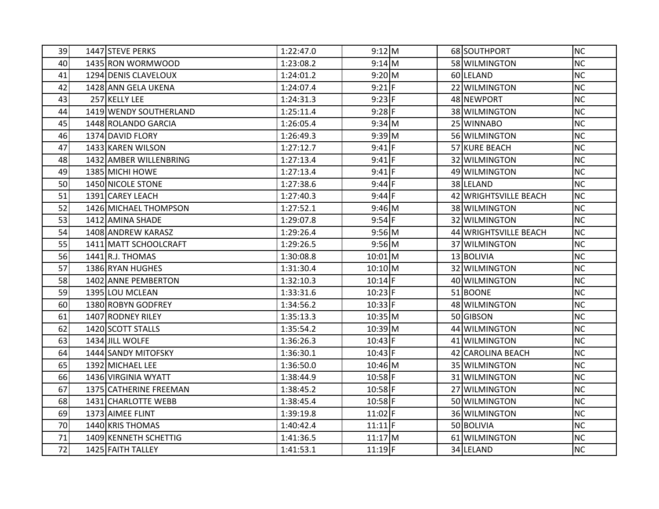| 39 | 1447 STEVE PERKS       | 1:22:47.0 | $9:12$ M  |  | 68 SOUTHPORT          | <b>NC</b> |
|----|------------------------|-----------|-----------|--|-----------------------|-----------|
| 40 | 1435 RON WORMWOOD      | 1:23:08.2 | $9:14$ M  |  | 58 WILMINGTON         | <b>NC</b> |
| 41 | 1294 DENIS CLAVELOUX   | 1:24:01.2 | 9:20 M    |  | 60 LELAND             | <b>NC</b> |
| 42 | 1428 ANN GELA UKENA    | 1:24:07.4 | $9:21$ F  |  | 22 WILMINGTON         | <b>NC</b> |
| 43 | 257 KELLY LEE          | 1:24:31.3 | $9:23$ F  |  | 48 NEWPORT            | <b>NC</b> |
| 44 | 1419 WENDY SOUTHERLAND | 1:25:11.4 | $9:28$ F  |  | 38 WILMINGTON         | <b>NC</b> |
| 45 | 1448 ROLANDO GARCIA    | 1:26:05.4 | $9:34$ M  |  | 25 WINNABO            | <b>NC</b> |
| 46 | 1374 DAVID FLORY       | 1:26:49.3 | $9:39$ M  |  | 56 WILMINGTON         | <b>NC</b> |
| 47 | 1433 KAREN WILSON      | 1:27:12.7 | $9:41$ F  |  | 57 KURE BEACH         | <b>NC</b> |
| 48 | 1432 AMBER WILLENBRING | 1:27:13.4 | $9:41$ F  |  | 32 WILMINGTON         | <b>NC</b> |
| 49 | 1385 MICHI HOWE        | 1:27:13.4 | $9:41$ F  |  | 49 WILMINGTON         | <b>NC</b> |
| 50 | 1450 NICOLE STONE      | 1:27:38.6 | $9:44$ F  |  | 38 LELAND             | <b>NC</b> |
| 51 | 1391 CAREY LEACH       | 1:27:40.3 | $9:44$ F  |  | 42 WRIGHTSVILLE BEACH | <b>NC</b> |
| 52 | 1426 MICHAEL THOMPSON  | 1:27:52.1 | 9:46 M    |  | 38 WILMINGTON         | <b>NC</b> |
| 53 | 1412 AMINA SHADE       | 1:29:07.8 | $9:54$ F  |  | 32 WILMINGTON         | <b>NC</b> |
| 54 | 1408 ANDREW KARASZ     | 1:29:26.4 | $9:56$ M  |  | 44 WRIGHTSVILLE BEACH | <b>NC</b> |
| 55 | 1411 MATT SCHOOLCRAFT  | 1:29:26.5 | $9:56$ M  |  | 37 WILMINGTON         | <b>NC</b> |
| 56 | 1441 R.J. THOMAS       | 1:30:08.8 | $10:01$ M |  | 13 BOLIVIA            | <b>NC</b> |
| 57 | 1386 RYAN HUGHES       | 1:31:30.4 | 10:10 M   |  | 32 WILMINGTON         | <b>NC</b> |
| 58 | 1402 ANNE PEMBERTON    | 1:32:10.3 | $10:14$ F |  | 40 WILMINGTON         | <b>NC</b> |
| 59 | 1395 LOU MCLEAN        | 1:33:31.6 | $10:23$ F |  | 51 BOONE              | <b>NC</b> |
| 60 | 1380 ROBYN GODFREY     | 1:34:56.2 | $10:33$ F |  | 48 WILMINGTON         | <b>NC</b> |
| 61 | 1407 RODNEY RILEY      | 1:35:13.3 | $10:35$ M |  | 50 GIBSON             | <b>NC</b> |
| 62 | 1420 SCOTT STALLS      | 1:35:54.2 | $10:39$ M |  | 44 WILMINGTON         | <b>NC</b> |
| 63 | 1434 JILL WOLFE        | 1:36:26.3 | $10:43$ F |  | 41 WILMINGTON         | <b>NC</b> |
| 64 | 1444 SANDY MITOFSKY    | 1:36:30.1 | $10:43$ F |  | 42 CAROLINA BEACH     | <b>NC</b> |
| 65 | 1392 MICHAEL LEE       | 1:36:50.0 | $10:46$ M |  | 35 WILMINGTON         | <b>NC</b> |
| 66 | 1436 VIRGINIA WYATT    | 1:38:44.9 | $10:58$ F |  | 31 WILMINGTON         | <b>NC</b> |
| 67 | 1375 CATHERINE FREEMAN | 1:38:45.2 | $10:58$ F |  | 27 WILMINGTON         | <b>NC</b> |
| 68 | 1431 CHARLOTTE WEBB    | 1:38:45.4 | $10:58$ F |  | 50 WILMINGTON         | <b>NC</b> |
| 69 | 1373 AIMEE FLINT       | 1:39:19.8 | $11:02$ F |  | 36 WILMINGTON         | <b>NC</b> |
| 70 | 1440 KRIS THOMAS       | 1:40:42.4 | $11:11$ F |  | 50 BOLIVIA            | <b>NC</b> |
| 71 | 1409 KENNETH SCHETTIG  | 1:41:36.5 | $11:17$ M |  | 61 WILMINGTON         | <b>NC</b> |
| 72 | 1425 FAITH TALLEY      | 1:41:53.1 | $11:19$ F |  | 34 LELAND             | <b>NC</b> |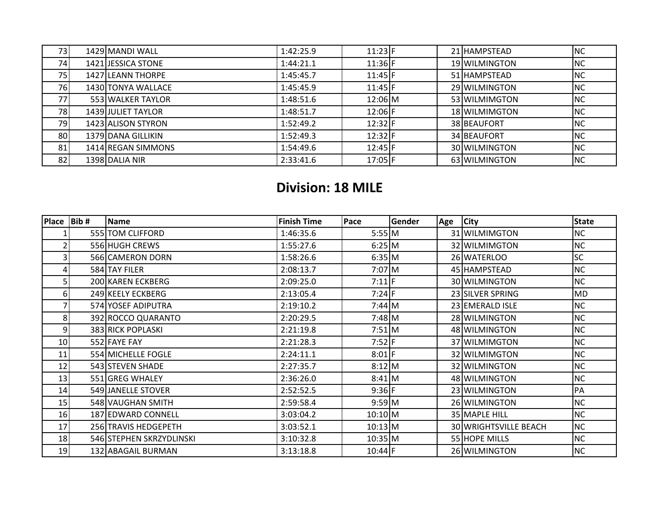| 73 | 1429 MANDI WALL           | 1:42:25.9 | $11:23$ F | 21 HAMPSTEAD  | <b>NC</b>  |
|----|---------------------------|-----------|-----------|---------------|------------|
| 74 | 1421 JESSICA STONE        | 1:44:21.1 | $11:36$ F | 19 WILMINGTON | <b>NC</b>  |
| 75 | 1427 LEANN THORPE         | 1:45:45.7 | 11:45     | 51 HAMPSTEAD  | <b>NC</b>  |
| 76 | 1430 TONYA WALLACE        | 1:45:45.9 | $11:45$ F | 29 WILMINGTON | <b>NC</b>  |
| 77 | 553 WALKER TAYLOR         | 1:48:51.6 | $12:06$ M | 53 WILMIMGTON | <b>NC</b>  |
| 78 | <b>1439 JULIET TAYLOR</b> | 1:48:51.7 | 12:06 F   | 18 WILMIMGTON | <b>NC</b>  |
| 79 | 1423 ALISON STYRON        | 1:52:49.2 | $12:32$ F | 38 BEAUFORT   | <b>NC</b>  |
| 80 | 1379 DANA GILLIKIN        | 1:52:49.3 | $12:32$ F | 34 BEAUFORT   | <b>NC</b>  |
| 81 | 1414 REGAN SIMMONS        | 1:54:49.6 | $12:45$ F | 30 WILMINGTON | <b>INC</b> |
| 82 | 1398 DALIA NIR            | 2:33:41.6 | $17:05$ F | 63 WILMINGTON | NC         |

## **Division: 18 MILE**

| <b>Place</b> | Bib# | <b>Name</b>              | <b>Finish Time</b> | Pace      | Gender | Age | <b>City</b>           | <b>State</b> |
|--------------|------|--------------------------|--------------------|-----------|--------|-----|-----------------------|--------------|
|              |      | 555 TOM CLIFFORD         | 1:46:35.6          | $5:55$ M  |        |     | 31 WILMIMGTON         | <b>NC</b>    |
| 2            |      | 556 HUGH CREWS           | 1:55:27.6          | $6:25$ M  |        |     | 32 WILMIMGTON         | <b>NC</b>    |
| 3            |      | 566 CAMERON DORN         | 1:58:26.6          | 6:35 M    |        |     | 26 WATERLOO           | SC           |
| 4            |      | 584 TAY FILER            | 2:08:13.7          | $7:07$ M  |        |     | 45 HAMPSTEAD          | <b>NC</b>    |
| 5            |      | 200 KAREN ECKBERG        | 2:09:25.0          | $7:11$ F  |        |     | 30 WILMINGTON         | <b>NC</b>    |
| 6            |      | 249 KEELY ECKBERG        | 2:13:05.4          | $7:24$ F  |        |     | 23 SILVER SPRING      | MD           |
|              |      | 574 YOSEF ADIPUTRA       | 2:19:10.2          | 7:44 M    |        |     | 23 EMERALD ISLE       | <b>NC</b>    |
| 8            |      | 392 ROCCO QUARANTO       | 2:20:29.5          | $7:48$ M  |        |     | 28 WILMINGTON         | <b>NC</b>    |
| 9            |      | 383 RICK POPLASKI        | 2:21:19.8          | $7:51$ M  |        |     | 48 WILMINGTON         | <b>NC</b>    |
| 10           |      | 552 FAYE FAY             | 2:21:28.3          | $7:52$ F  |        |     | 37 WILMIMGTON         | <b>NC</b>    |
| 11           |      | 554 MICHELLE FOGLE       | 2:24:11.1          | $8:01$ F  |        |     | 32 WILMIMGTON         | <b>NC</b>    |
| 12           |      | 543 STEVEN SHADE         | 2:27:35.7          | $8:12$ M  |        |     | 32 WILMINGTON         | <b>NC</b>    |
| 13           |      | 551 GREG WHALEY          | 2:36:26.0          | $8:41$ M  |        |     | 48 WILMINGTON         | <b>NC</b>    |
| 14           |      | 549 JANELLE STOVER       | 2:52:52.5          | $9:36$ F  |        |     | 23 WILMINGTON         | PA           |
| 15           |      | 548 VAUGHAN SMITH        | 2:59:58.4          | $9:59$ M  |        |     | 26 WILMINGTON         | <b>NC</b>    |
| 16           |      | 187 EDWARD CONNELL       | 3:03:04.2          | $10:10$ M |        |     | 35 MAPLE HILL         | <b>NC</b>    |
| 17           |      | 256 TRAVIS HEDGEPETH     | 3:03:52.1          | $10:13$ M |        |     | 30 WRIGHTSVILLE BEACH | NC           |
| 18           |      | 546 STEPHEN SKRZYDLINSKI | 3:10:32.8          | $10:35$ M |        |     | 55 HOPE MILLS         | NC           |
| 19           |      | 132 ABAGAIL BURMAN       | 3:13:18.8          | 10:44 F   |        |     | 26 WILMINGTON         | <b>NC</b>    |